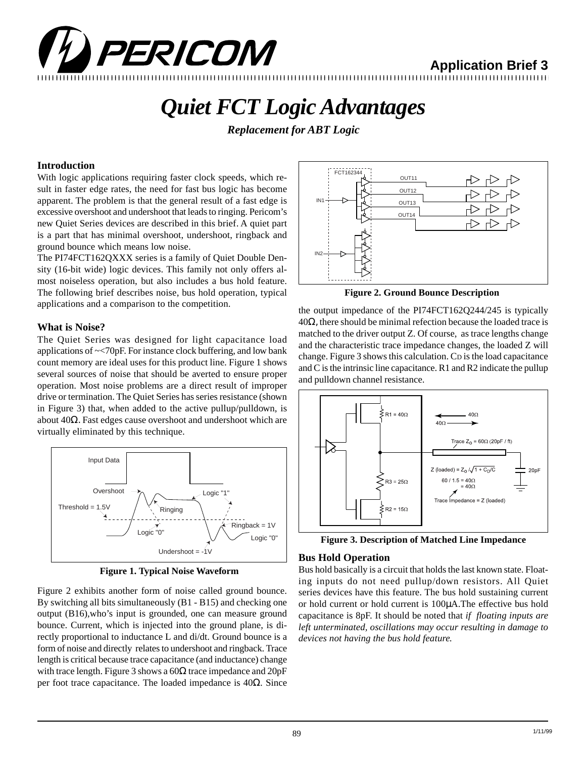

**Application Brief 3**

# *Quiet FCT Logic Advantages*

*Replacement for ABT Logic*

### **Introduction**

With logic applications requiring faster clock speeds, which result in faster edge rates, the need for fast bus logic has become apparent. The problem is that the general result of a fast edge is excessive overshoot and undershoot that leads to ringing. Pericom's new Quiet Series devices are described in this brief. A quiet part is a part that has minimal overshoot, undershoot, ringback and ground bounce which means low noise.

The PI74FCT162QXXX series is a family of Quiet Double Density (16-bit wide) logic devices. This family not only offers almost noiseless operation, but also includes a bus hold feature. The following brief describes noise, bus hold operation, typical applications and a comparison to the competition.

### **What is Noise?**

The Quiet Series was designed for light capacitance load applications of ~<70pF. For instance clock buffering, and low bank count memory are ideal uses for this product line. Figure 1 shows several sources of noise that should be averted to ensure proper operation. Most noise problems are a direct result of improper drive or termination. The Quiet Series has series resistance (shown in Figure 3) that, when added to the active pullup/pulldown, is about  $40Ω$ . Fast edges cause overshoot and undershoot which are virtually eliminated by this technique.



**Figure 1. Typical Noise Waveform**

Figure 2 exhibits another form of noise called ground bounce. By switching all bits simultaneously (B1 - B15) and checking one output (B16),who's input is grounded, one can measure ground bounce. Current, which is injected into the ground plane, is directly proportional to inductance L and di/dt. Ground bounce is a form of noise and directly relates to undershoot and ringback. Trace length is critical because trace capacitance (and inductance) change with trace length. Figure 3 shows a  $60\Omega$  trace impedance and  $20pF$ per foot trace capacitance. The loaded impedance is 40Ω. Since



**Figure 2. Ground Bounce Description**

the output impedance of the PI74FCT162Q244/245 is typically  $40\Omega$ , there should be minimal refection because the loaded trace is matched to the driver output Z. Of course, as trace lengths change and the characteristic trace impedance changes, the loaded Z will change. Figure 3 shows this calculation. CD is the load capacitance and C is the intrinsic line capacitance. R1 and R2 indicate the pullup and pulldown channel resistance.



**Figure 3. Description of Matched Line Impedance**

### **Bus Hold Operation**

Bus hold basically is a circuit that holds the last known state. Floating inputs do not need pullup/down resistors. All Quiet series devices have this feature. The bus hold sustaining current or hold current or hold current is 100µA.The effective bus hold capacitance is 8pF. It should be noted that *if floating inputs are left unterminated, oscillations may occur resulting in damage to devices not having the bus hold feature.*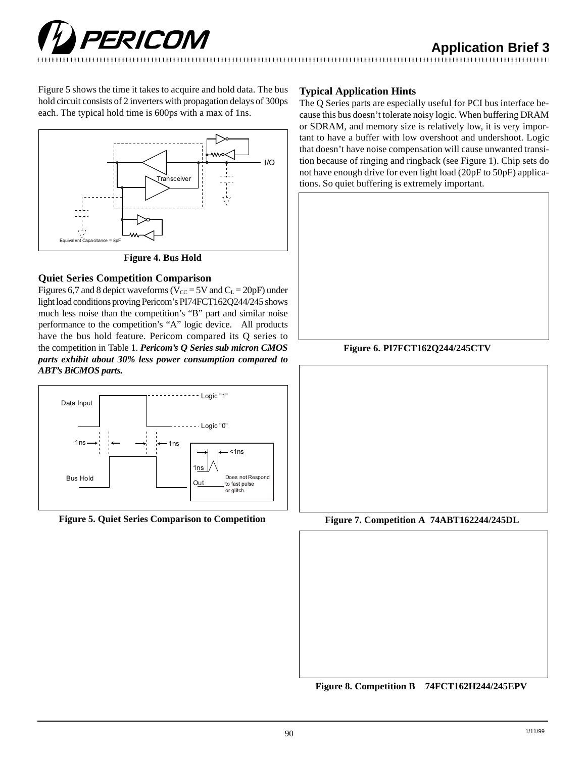Figure 5 shows the time it takes to acquire and hold data. The bus hold circuit consists of 2 inverters with propagation delays of 300ps each. The typical hold time is 600ps with a max of 1ns.



**Figure 4. Bus Hold**

# **Quiet Series Competition Comparison**

Figures 6,7 and 8 depict waveforms ( $V_{CC} = 5V$  and  $C_L = 20pF$ ) under light load conditions proving Pericom's PI74FCT162Q244/245 shows much less noise than the competition's "B" part and similar noise performance to the competition's "A" logic device. All products have the bus hold feature. Pericom compared its Q series to the competition in Table 1. *Pericom's Q Series sub micron CMOS parts exhibit about 30% less power consumption compared to ABT's BiCMOS parts.*



**Figure 5. Quiet Series Comparison to Competition Figure 7. Competition A 74ABT162244/245DL**

## **Typical Application Hints**

The Q Series parts are especially useful for PCI bus interface because this bus doesn't tolerate noisy logic. When buffering DRAM or SDRAM, and memory size is relatively low, it is very important to have a buffer with low overshoot and undershoot. Logic that doesn't have noise compensation will cause unwanted transition because of ringing and ringback (see Figure 1). Chip sets do not have enough drive for even light load (20pF to 50pF) applications. So quiet buffering is extremely important.

# **Figure 6. PI7FCT162Q244/245CTV**



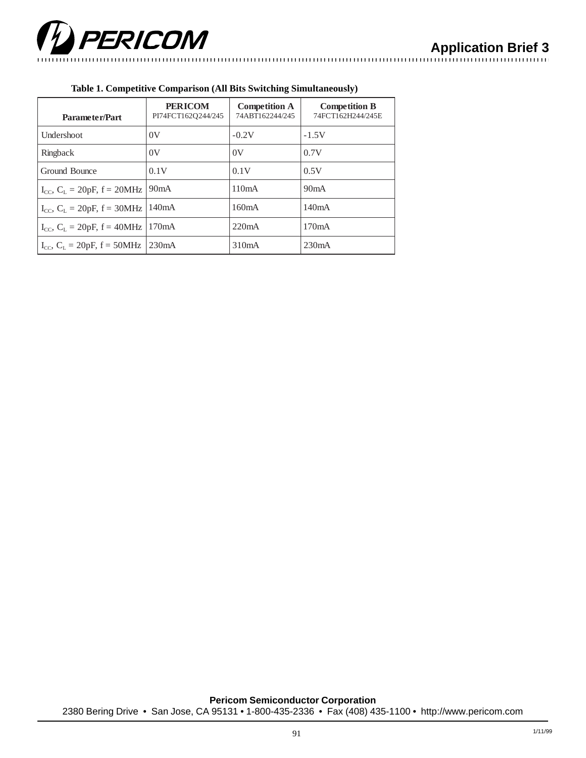

| Parameter/Part                          | <b>PERICOM</b><br>PI74FCT162Q244/245 | <b>Competition A</b><br>74ABT162244/245 | <b>Competition B</b><br>74FCT162H244/245E |
|-----------------------------------------|--------------------------------------|-----------------------------------------|-------------------------------------------|
| Undershoot                              | 0V                                   | $-0.2V$                                 | $-1.5V$                                   |
| Ringback                                | 0V                                   | 0V                                      | 0.7V                                      |
| Ground Bounce                           | 0.1V                                 | 0.1V                                    | 0.5V                                      |
| $I_{CC}$ , $C_L = 20pF$ , $f = 20MHz$   | 90mA                                 | 110mA                                   | 90mA                                      |
| $I_{CC}$ , $C_L = 20pF$ , $f = 30MHz$   | 140mA                                | 160mA                                   | 140mA                                     |
| $I_{CC}$ , $C_L = 20pF$ , $f = 40MHz$   | 170mA                                | 220mA                                   | 170mA                                     |
| $I_{CC}$ , $C_{L} = 20pF$ , $f = 50MHz$ | 230mA                                | 310mA                                   | 230mA                                     |

#### **Table 1. Competitive Comparison (All Bits Switching Simultaneously)**